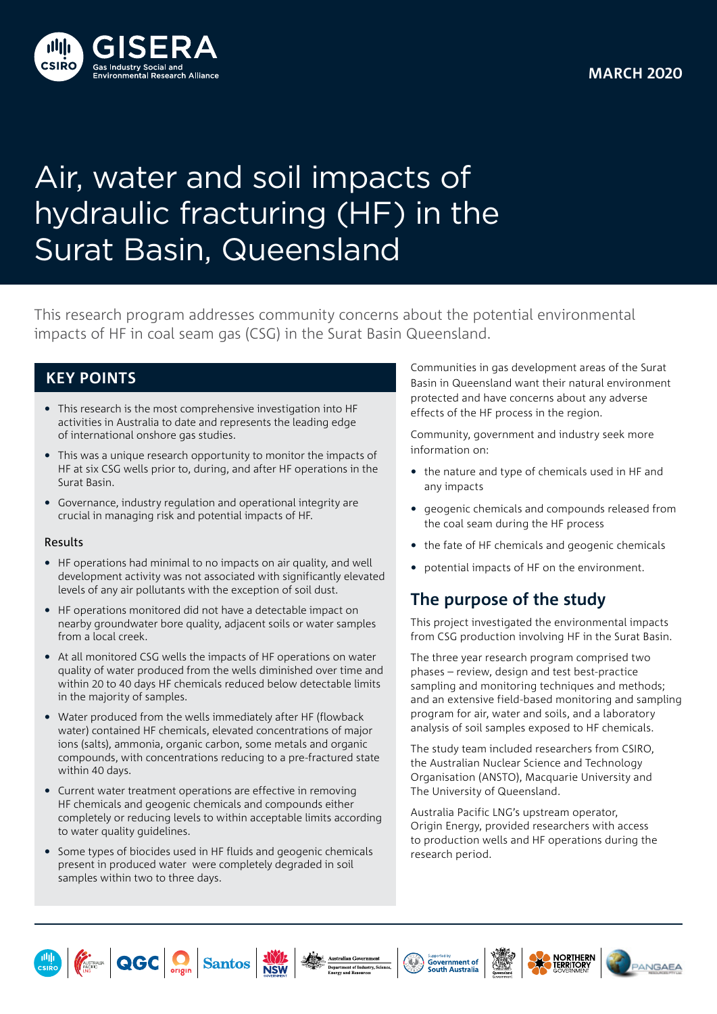

# Air, water and soil impacts of hydraulic fracturing (HF) in the Surat Basin, Queensland

This research program addresses community concerns about the potential environmental impacts of HF in coal seam gas (CSG) in the Surat Basin Queensland.

#### **KEY POINTS**

- This research is the most comprehensive investigation into HF activities in Australia to date and represents the leading edge of international onshore gas studies.
- This was a unique research opportunity to monitor the impacts of HF at six CSG wells prior to, during, and after HF operations in the Surat Basin.
- Governance, industry regulation and operational integrity are crucial in managing risk and potential impacts of HF.

#### Results

- HF operations had minimal to no impacts on air quality, and well development activity was not associated with significantly elevated levels of any air pollutants with the exception of soil dust.
- HF operations monitored did not have a detectable impact on nearby groundwater bore quality, adjacent soils or water samples from a local creek.
- At all monitored CSG wells the impacts of HF operations on water quality of water produced from the wells diminished over time and within 20 to 40 days HF chemicals reduced below detectable limits in the majority of samples.
- Water produced from the wells immediately after HF (flowback water) contained HF chemicals, elevated concentrations of major ions (salts), ammonia, organic carbon, some metals and organic compounds, with concentrations reducing to a pre-fractured state within 40 days.
- Current water treatment operations are effective in removing HF chemicals and geogenic chemicals and compounds either completely or reducing levels to within acceptable limits according to water quality guidelines.
- Some types of biocides used in HF fluids and geogenic chemicals present in produced water were completely degraded in soil samples within two to three days.

Communities in gas development areas of the Surat Basin in Queensland want their natural environment protected and have concerns about any adverse effects of the HF process in the region.

Community, government and industry seek more information on:

- the nature and type of chemicals used in HF and any impacts
- geogenic chemicals and compounds released from the coal seam during the HF process
- the fate of HF chemicals and geogenic chemicals
- potential impacts of HF on the environment.

# **The purpose of the study**

This project investigated the environmental impacts from CSG production involving HF in the Surat Basin.

The three year research program comprised two phases – review, design and test best-practice sampling and monitoring techniques and methods; and an extensive field-based monitoring and sampling program for air, water and soils, and a laboratory analysis of soil samples exposed to HF chemicals.

The study team included researchers from CSIRO, the Australian Nuclear Science and Technology Organisation (ANSTO), Macquarie University and The University of Queensland.

Australia Pacific LNG's upstream operator, Origin Energy, provided researchers with access to production wells and HF operations during the research period.













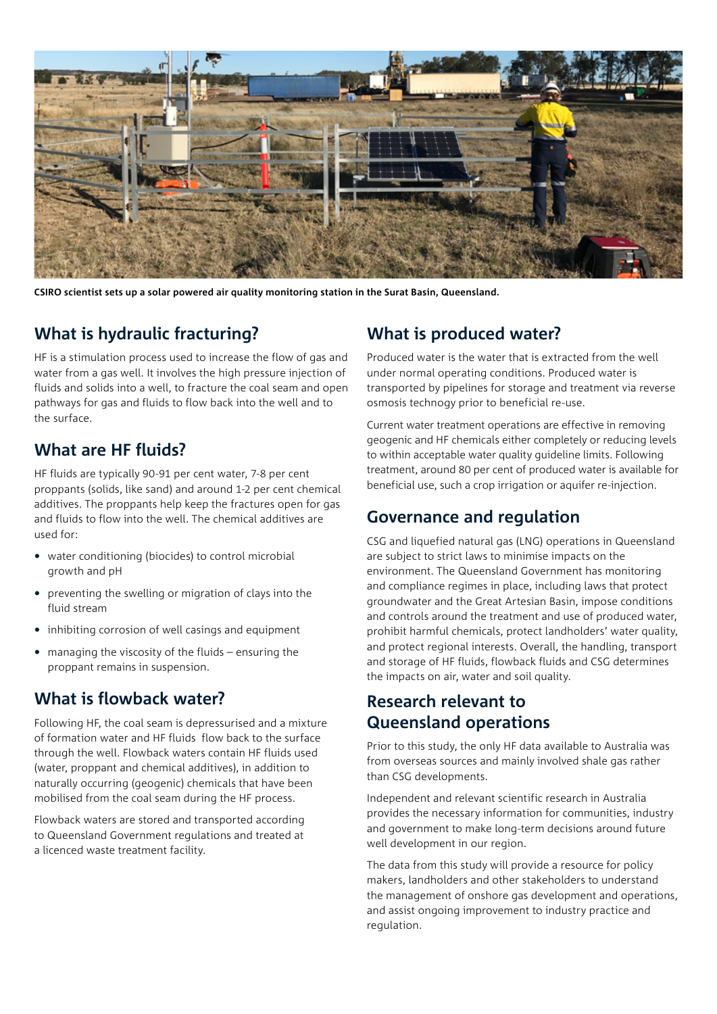

**CSIRO scientist sets up a solar powered air quality monitoring station in the Surat Basin, Queensland.** 

## **What is hydraulic fracturing?**

HF is a stimulation process used to increase the flow of gas and water from a gas well. It involves the high pressure injection of fluids and solids into a well, to fracture the coal seam and open pathways for gas and fluids to flow back into the well and to the surface.

## **What are HF fluids?**

HF fluids are typically 90-91 per cent water, 7-8 per cent proppants (solids, like sand) and around 1-2 per cent chemical additives. The proppants help keep the fractures open for gas and fluids to flow into the well. The chemical additives are used for:

- water conditioning (biocides) to control microbial growth and pH
- preventing the swelling or migration of clays into the fluid stream
- inhibiting corrosion of well casings and equipment
- managing the viscosity of the fluids ensuring the proppant remains in suspension.

## **What is flowback water?**

Following HF, the coal seam is depressurised and a mixture of formation water and HF fluids flow back to the surface through the well. Flowback waters contain HF fluids used (water, proppant and chemical additives), in addition to naturally occurring (geogenic) chemicals that have been mobilised from the coal seam during the HF process.

Flowback waters are stored and transported according to Queensland Government regulations and treated at a licenced waste treatment facility.

## **What is produced water?**

Produced water is the water that is extracted from the well under normal operating conditions. Produced water is transported by pipelines for storage and treatment via reverse osmosis technogy prior to beneficial re-use.

Current water treatment operations are effective in removing geogenic and HF chemicals either completely or reducing levels to within acceptable water quality guideline limits. Following treatment, around 80 per cent of produced water is available for beneficial use, such a crop irrigation or aquifer re-injection.

## **Governance and regulation**

CSG and liquefied natural gas (LNG) operations in Queensland are subject to strict laws to minimise impacts on the environment. The Queensland Government has monitoring and compliance regimes in place, including laws that protect groundwater and the Great Artesian Basin, impose conditions and controls around the treatment and use of produced water, prohibit harmful chemicals, protect landholders' water quality, and protect regional interests. Overall, the handling, transport and storage of HF fluids, flowback fluids and CSG determines the impacts on air, water and soil quality.

## **Research relevant to Queensland operations**

Prior to this study, the only HF data available to Australia was from overseas sources and mainly involved shale gas rather than CSG developments.

Independent and relevant scientific research in Australia provides the necessary information for communities, industry and government to make long-term decisions around future well development in our region.

The data from this study will provide a resource for policy makers, landholders and other stakeholders to understand the management of onshore gas development and operations, and assist ongoing improvement to industry practice and regulation.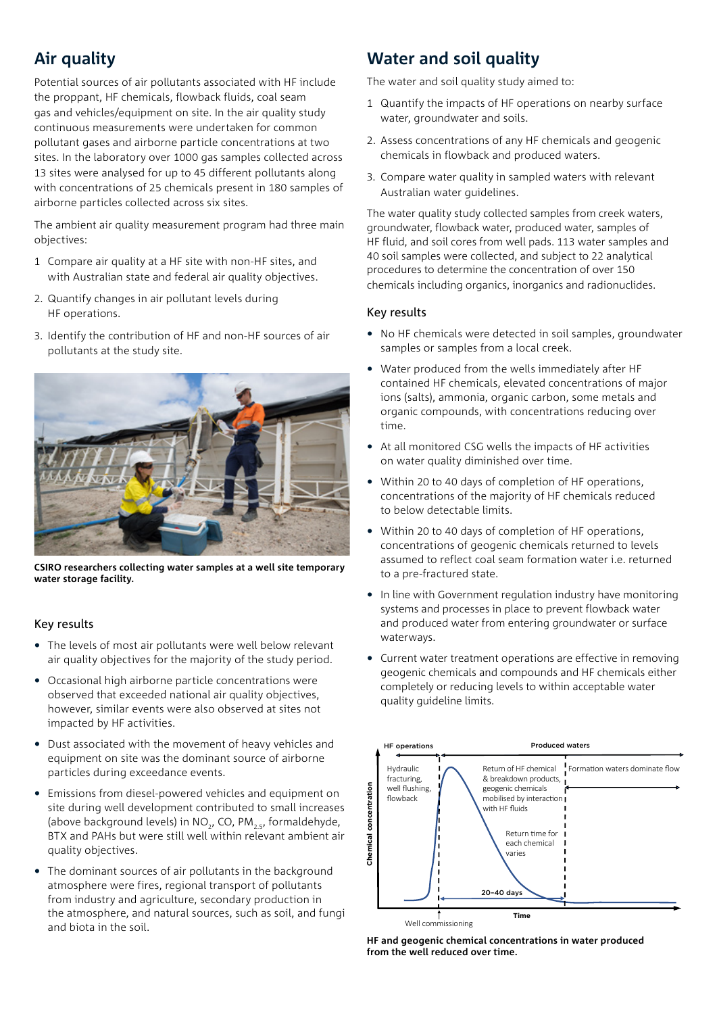# **Air quality**

Potential sources of air pollutants associated with HF include the proppant, HF chemicals, flowback fluids, coal seam gas and vehicles/equipment on site. In the air quality study continuous measurements were undertaken for common pollutant gases and airborne particle concentrations at two sites. In the laboratory over 1000 gas samples collected across 13 sites were analysed for up to 45 different pollutants along with concentrations of 25 chemicals present in 180 samples of airborne particles collected across six sites.

The ambient air quality measurement program had three main objectives:

- 1 Compare air quality at a HF site with non-HF sites, and with Australian state and federal air quality objectives.
- 2. Quantify changes in air pollutant levels during HF operations.
- 3. Identify the contribution of HF and non-HF sources of air pollutants at the study site.



**CSIRO researchers collecting water samples at a well site temporary water storage facility.** 

#### Key results

- The levels of most air pollutants were well below relevant air quality objectives for the majority of the study period.
- Occasional high airborne particle concentrations were observed that exceeded national air quality objectives, however, similar events were also observed at sites not impacted by HF activities.
- Dust associated with the movement of heavy vehicles and equipment on site was the dominant source of airborne particles during exceedance events.
- Emissions from diesel-powered vehicles and equipment on site during well development contributed to small increases (above background levels) in NO<sub>2</sub>, CO, PM<sub>25</sub>, formaldehyde, Emissions from diesel-powered vehicles and equipment on<br>site during well development contributed to small increases<br>(above background levels) in NO<sub>2</sub>, CO, PM<sub>2, s</sub>, formaldehyde,<br>quality objectives.<br>quality objectives. Emissions from diesel-powered vehicles and equipment on<br>site during well development contributed to small increases<br>(above background levels) in NO<sub>2</sub>, CO, PM<sub>2, S</sub>, formaldehyde,<br>quality objectives.<br>quality objectives.<br>ea
- The dominant sources of air pollutants in the background atmosphere were fires, regional transport of pollutants Example the contract of the conduction in the conduction in the conduction in the conduction in the conduction in  $\frac{1}{20-40 \text{ days}}$ the atmosphere, and natural sources, such as soil, and fungi<br> **Time** and biota in the soil.

## **Water and soil quality**

The water and soil quality study aimed to:

- 1 Quantify the impacts of HF operations on nearby surface water, groundwater and soils.
- 2. Assess concentrations of any HF chemicals and geogenic chemicals in flowback and produced waters.
- 3. Compare water quality in sampled waters with relevant Australian water guidelines.

The water quality study collected samples from creek waters, groundwater, flowback water, produced water, samples of HF fluid, and soil cores from well pads. 113 water samples and 40 soil samples were collected, and subject to 22 analytical procedures to determine the concentration of over 150 chemicals including organics, inorganics and radionuclides.

#### Key results

- No HF chemicals were detected in soil samples, groundwater samples or samples from a local creek.
- Water produced from the wells immediately after HF contained HF chemicals, elevated concentrations of major ions (salts), ammonia, organic carbon, some metals and organic compounds, with concentrations reducing over time.
- At all monitored CSG wells the impacts of HF activities on water quality diminished over time.
- Within 20 to 40 days of completion of HF operations, concentrations of the majority of HF chemicals reduced to below detectable limits.
- Within 20 to 40 days of completion of HF operations, concentrations of geogenic chemicals returned to levels assumed to reflect coal seam formation water i.e. returned to a pre-fractured state.
- In line with Government regulation industry have monitoring systems and processes in place to prevent flowback water and produced water from entering groundwater or surface waterways.
- Current water treatment operations are effective in removing geogenic chemicals and compounds and HF chemicals either completely or reducing levels to within acceptable water quality guideline limits.



**HF and geogenic chemical concentrations in water produced from the well reduced over time.**